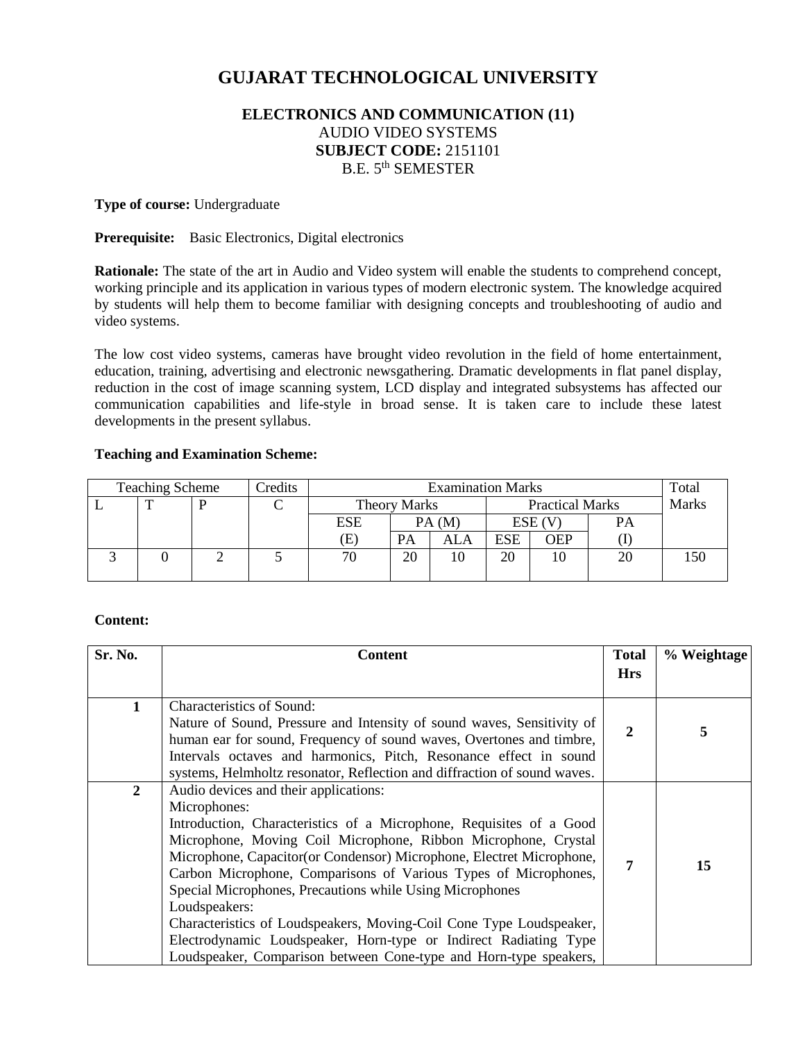# **GUJARAT TECHNOLOGICAL UNIVERSITY**

## **ELECTRONICS AND COMMUNICATION (11)** AUDIO VIDEO SYSTEMS **SUBJECT CODE:** 2151101 B.E. 5<sup>th</sup> SEMESTER

#### **Type of course:** Undergraduate

**Prerequisite:** Basic Electronics, Digital electronics

**Rationale:** The state of the art in Audio and Video system will enable the students to comprehend concept, working principle and its application in various types of modern electronic system. The knowledge acquired by students will help them to become familiar with designing concepts and troubleshooting of audio and video systems.

The low cost video systems, cameras have brought video revolution in the field of home entertainment, education, training, advertising and electronic newsgathering. Dramatic developments in flat panel display, reduction in the cost of image scanning system, LCD display and integrated subsystems has affected our communication capabilities and life-style in broad sense. It is taken care to include these latest developments in the present syllabus.

#### **Teaching and Examination Scheme:**

| <b>Teaching Scheme</b> |  | Credits | <b>Examination Marks</b> |                     |       |                        |            | Total        |    |  |
|------------------------|--|---------|--------------------------|---------------------|-------|------------------------|------------|--------------|----|--|
|                        |  |         |                          | <b>Theory Marks</b> |       | <b>Practical Marks</b> |            | <b>Marks</b> |    |  |
|                        |  |         |                          | <b>ESE</b>          | PA(M) |                        | ESE (V     |              | PA |  |
|                        |  |         |                          | Œ)                  | PA    | ALA                    | <b>ESE</b> | OEP          |    |  |
|                        |  |         |                          |                     | 20    | 10                     | 20         | I O          | 20 |  |
|                        |  |         |                          |                     |       |                        |            |              |    |  |

#### **Content:**

| Sr. No.      | <b>Content</b>                                                                                                                                                                                                                                                                                                                                                                                                                                                                                                                                                                                                                          | <b>Total</b><br><b>Hrs</b> | % Weightage |
|--------------|-----------------------------------------------------------------------------------------------------------------------------------------------------------------------------------------------------------------------------------------------------------------------------------------------------------------------------------------------------------------------------------------------------------------------------------------------------------------------------------------------------------------------------------------------------------------------------------------------------------------------------------------|----------------------------|-------------|
| 1            | Characteristics of Sound:<br>Nature of Sound, Pressure and Intensity of sound waves, Sensitivity of<br>human ear for sound, Frequency of sound waves, Overtones and timbre,<br>Intervals octaves and harmonics, Pitch, Resonance effect in sound<br>systems, Helmholtz resonator, Reflection and diffraction of sound waves.                                                                                                                                                                                                                                                                                                            | $\mathbf{2}$               | 5           |
| $\mathbf{2}$ | Audio devices and their applications:<br>Microphones:<br>Introduction, Characteristics of a Microphone, Requisites of a Good<br>Microphone, Moving Coil Microphone, Ribbon Microphone, Crystal<br>Microphone, Capacitor (or Condensor) Microphone, Electret Microphone,<br>Carbon Microphone, Comparisons of Various Types of Microphones,<br>Special Microphones, Precautions while Using Microphones<br>Loudspeakers:<br>Characteristics of Loudspeakers, Moving-Coil Cone Type Loudspeaker,<br>Electrodynamic Loudspeaker, Horn-type or Indirect Radiating Type<br>Loudspeaker, Comparison between Cone-type and Horn-type speakers, | 7                          | 15          |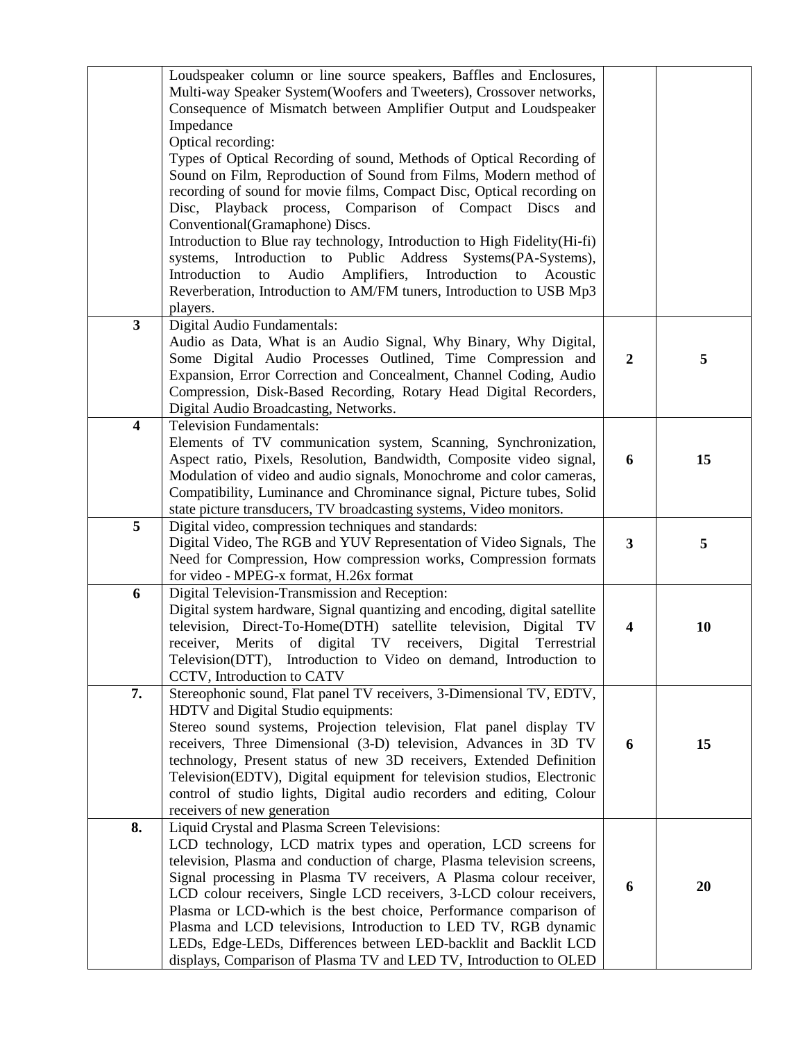|                         | Loudspeaker column or line source speakers, Baffles and Enclosures,<br>Multi-way Speaker System(Woofers and Tweeters), Crossover networks,<br>Consequence of Mismatch between Amplifier Output and Loudspeaker<br>Impedance<br>Optical recording:<br>Types of Optical Recording of sound, Methods of Optical Recording of<br>Sound on Film, Reproduction of Sound from Films, Modern method of<br>recording of sound for movie films, Compact Disc, Optical recording on<br>Disc, Playback process, Comparison of Compact Discs<br>and<br>Conventional(Gramaphone) Discs.<br>Introduction to Blue ray technology, Introduction to High Fidelity(Hi-fi)<br>Introduction to Public Address<br>Systems(PA-Systems),<br>systems,<br>Introduction<br>Audio<br>Introduction<br>Amplifiers,<br>to<br>to<br>Acoustic<br>Reverberation, Introduction to AM/FM tuners, Introduction to USB Mp3<br>players. |                         |    |
|-------------------------|--------------------------------------------------------------------------------------------------------------------------------------------------------------------------------------------------------------------------------------------------------------------------------------------------------------------------------------------------------------------------------------------------------------------------------------------------------------------------------------------------------------------------------------------------------------------------------------------------------------------------------------------------------------------------------------------------------------------------------------------------------------------------------------------------------------------------------------------------------------------------------------------------|-------------------------|----|
| $\mathbf{3}$            | Digital Audio Fundamentals:<br>Audio as Data, What is an Audio Signal, Why Binary, Why Digital,<br>Some Digital Audio Processes Outlined, Time Compression and<br>Expansion, Error Correction and Concealment, Channel Coding, Audio<br>Compression, Disk-Based Recording, Rotary Head Digital Recorders,<br>Digital Audio Broadcasting, Networks.                                                                                                                                                                                                                                                                                                                                                                                                                                                                                                                                               | $\boldsymbol{2}$        | 5  |
| $\overline{\mathbf{4}}$ | <b>Television Fundamentals:</b><br>Elements of TV communication system, Scanning, Synchronization,<br>Aspect ratio, Pixels, Resolution, Bandwidth, Composite video signal,<br>Modulation of video and audio signals, Monochrome and color cameras,<br>Compatibility, Luminance and Chrominance signal, Picture tubes, Solid<br>state picture transducers, TV broadcasting systems, Video monitors.                                                                                                                                                                                                                                                                                                                                                                                                                                                                                               | 6                       | 15 |
| 5                       | Digital video, compression techniques and standards:<br>Digital Video, The RGB and YUV Representation of Video Signals, The<br>Need for Compression, How compression works, Compression formats<br>for video - MPEG-x format, H.26x format                                                                                                                                                                                                                                                                                                                                                                                                                                                                                                                                                                                                                                                       | $\mathbf{3}$            | 5  |
| 6                       | Digital Television-Transmission and Reception:<br>Digital system hardware, Signal quantizing and encoding, digital satellite<br>television, Direct-To-Home(DTH) satellite television, Digital TV<br>receiver, Merits of digital TV receivers, Digital Terrestrial<br>Television(DTT), Introduction to Video on demand, Introduction to<br>CCTV, Introduction to CATV                                                                                                                                                                                                                                                                                                                                                                                                                                                                                                                             | $\overline{\mathbf{4}}$ | 10 |
| 7.                      | Stereophonic sound, Flat panel TV receivers, 3-Dimensional TV, EDTV,<br>HDTV and Digital Studio equipments:<br>Stereo sound systems, Projection television, Flat panel display TV<br>receivers, Three Dimensional (3-D) television, Advances in 3D TV<br>technology, Present status of new 3D receivers, Extended Definition<br>Television(EDTV), Digital equipment for television studios, Electronic<br>control of studio lights, Digital audio recorders and editing, Colour<br>receivers of new generation                                                                                                                                                                                                                                                                                                                                                                                   | 6                       | 15 |
| 8.                      | Liquid Crystal and Plasma Screen Televisions:<br>LCD technology, LCD matrix types and operation, LCD screens for<br>television, Plasma and conduction of charge, Plasma television screens,<br>Signal processing in Plasma TV receivers, A Plasma colour receiver,<br>LCD colour receivers, Single LCD receivers, 3-LCD colour receivers,<br>Plasma or LCD-which is the best choice, Performance comparison of<br>Plasma and LCD televisions, Introduction to LED TV, RGB dynamic<br>LEDs, Edge-LEDs, Differences between LED-backlit and Backlit LCD<br>displays, Comparison of Plasma TV and LED TV, Introduction to OLED                                                                                                                                                                                                                                                                      | 6                       | 20 |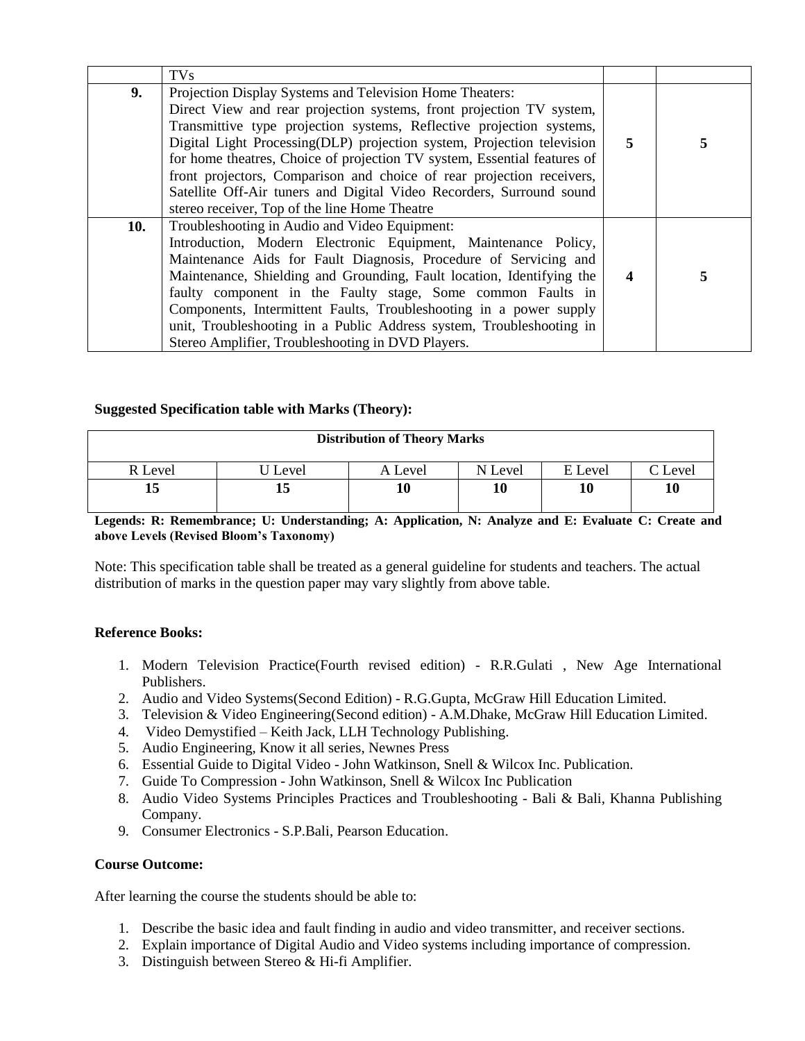|     | <b>TVs</b>                                                                                                                                                                                                                                                                                                                                                                                                                                                                                                                     |   |   |
|-----|--------------------------------------------------------------------------------------------------------------------------------------------------------------------------------------------------------------------------------------------------------------------------------------------------------------------------------------------------------------------------------------------------------------------------------------------------------------------------------------------------------------------------------|---|---|
| 9.  | Projection Display Systems and Television Home Theaters:<br>Direct View and rear projection systems, front projection TV system,<br>Transmittive type projection systems, Reflective projection systems,<br>Digital Light Processing (DLP) projection system, Projection television<br>for home theatres, Choice of projection TV system, Essential features of<br>front projectors, Comparison and choice of rear projection receivers,                                                                                       | 5 | 5 |
|     | Satellite Off-Air tuners and Digital Video Recorders, Surround sound<br>stereo receiver, Top of the line Home Theatre                                                                                                                                                                                                                                                                                                                                                                                                          |   |   |
| 10. | Troubleshooting in Audio and Video Equipment:<br>Introduction, Modern Electronic Equipment, Maintenance Policy,<br>Maintenance Aids for Fault Diagnosis, Procedure of Servicing and<br>Maintenance, Shielding and Grounding, Fault location, Identifying the<br>faulty component in the Faulty stage, Some common Faults in<br>Components, Intermittent Faults, Troubleshooting in a power supply<br>unit, Troubleshooting in a Public Address system, Troubleshooting in<br>Stereo Amplifier, Troubleshooting in DVD Players. | 4 | 5 |

### **Suggested Specification table with Marks (Theory):**

| <b>Distribution of Theory Marks</b> |        |         |         |         |         |  |  |
|-------------------------------------|--------|---------|---------|---------|---------|--|--|
| R Level                             | ⊺Level | A Level | N Level | E Level | C Level |  |  |
| lЭ                                  | 15     | 10      | 10      | 10      | 10      |  |  |

**Legends: R: Remembrance; U: Understanding; A: Application, N: Analyze and E: Evaluate C: Create and above Levels (Revised Bloom's Taxonomy)**

Note: This specification table shall be treated as a general guideline for students and teachers. The actual distribution of marks in the question paper may vary slightly from above table.

#### **Reference Books:**

- 1. Modern Television Practice(Fourth revised edition) R.R.Gulati , New Age International Publishers.
- 2. Audio and Video Systems(Second Edition) R.G.Gupta, McGraw Hill Education Limited.
- 3. Television & Video Engineering(Second edition) A.M.Dhake, McGraw Hill Education Limited.
- 4. Video Demystified Keith Jack, LLH Technology Publishing.
- 5. Audio Engineering, Know it all series, Newnes Press
- 6. Essential Guide to Digital Video John Watkinson, Snell & Wilcox Inc. Publication.
- 7. Guide To Compression John Watkinson, Snell & Wilcox Inc Publication
- 8. Audio Video Systems Principles Practices and Troubleshooting Bali & Bali, Khanna Publishing Company.
- 9. Consumer Electronics S.P.Bali, Pearson Education.

#### **Course Outcome:**

After learning the course the students should be able to:

- 1. Describe the basic idea and fault finding in audio and video transmitter, and receiver sections.
- 2. Explain importance of Digital Audio and Video systems including importance of compression.
- 3. Distinguish between Stereo & Hi-fi Amplifier.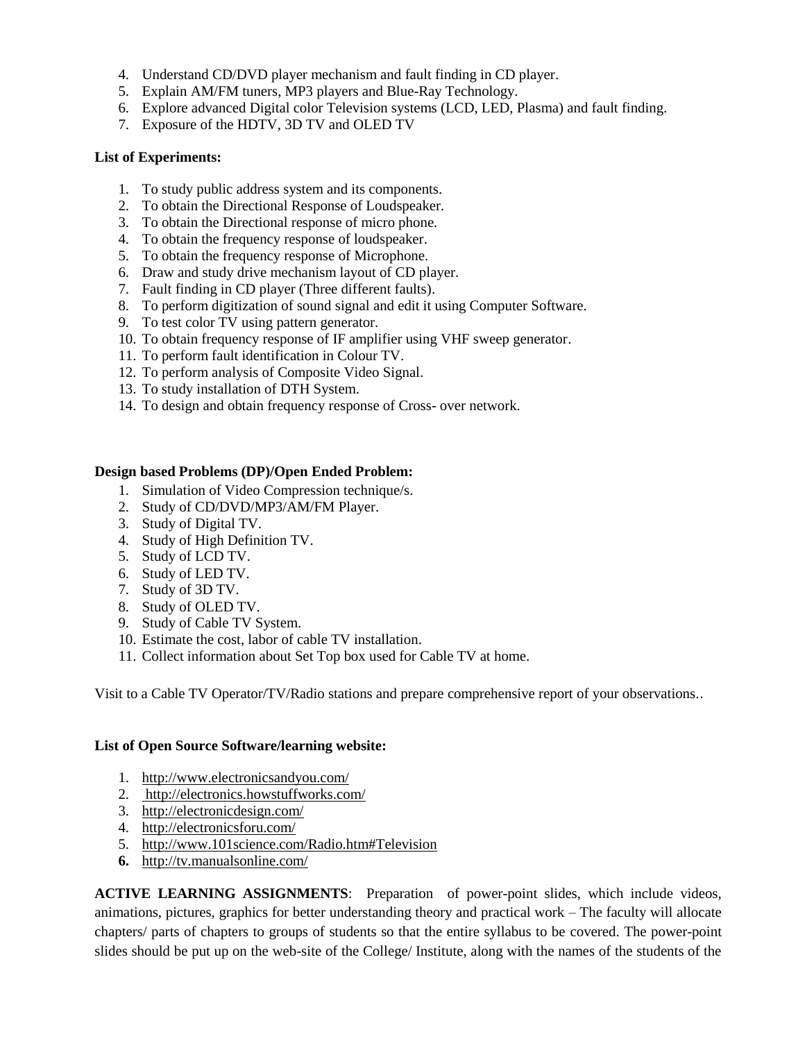- 4. Understand CD/DVD player mechanism and fault finding in CD player.
- 5. Explain AM/FM tuners, MP3 players and Blue-Ray Technology.
- 6. Explore advanced Digital color Television systems (LCD, LED, Plasma) and fault finding.
- 7. Exposure of the HDTV, 3D TV and OLED TV

#### **List of Experiments:**

- 1. To study public address system and its components.
- 2. To obtain the Directional Response of Loudspeaker.
- 3. To obtain the Directional response of micro phone.
- 4. To obtain the frequency response of loudspeaker.
- 5. To obtain the frequency response of Microphone.
- 6. Draw and study drive mechanism layout of CD player.
- 7. Fault finding in CD player (Three different faults).
- 8. To perform digitization of sound signal and edit it using Computer Software.
- 9. To test color TV using pattern generator.
- 10. To obtain frequency response of IF amplifier using VHF sweep generator.
- 11. To perform fault identification in Colour TV.
- 12. To perform analysis of Composite Video Signal.
- 13. To study installation of DTH System.
- 14. To design and obtain frequency response of Cross- over network.

#### **Design based Problems (DP)/Open Ended Problem:**

- 1. Simulation of Video Compression technique/s.
- 2. Study of CD/DVD/MP3/AM/FM Player.
- 3. Study of Digital TV.
- 4. Study of High Definition TV.
- 5. Study of LCD TV.
- 6. Study of LED TV.
- 7. Study of 3D TV.
- 8. Study of OLED TV.
- 9. Study of Cable TV System.
- 10. Estimate the cost, labor of cable TV installation.
- 11. Collect information about Set Top box used for Cable TV at home.

Visit to a Cable TV Operator/TV/Radio stations and prepare comprehensive report of your observations..

#### **List of Open Source Software/learning website:**

- 1. <http://www.electronicsandyou.com/>
- 2. <http://electronics.howstuffworks.com/>
- 3. <http://electronicdesign.com/>
- 4. <http://electronicsforu.com/>
- 5. <http://www.101science.com/Radio.htm#Television>
- **6.** <http://tv.manualsonline.com/>

**ACTIVE LEARNING ASSIGNMENTS**: Preparation of power-point slides, which include videos, animations, pictures, graphics for better understanding theory and practical work – The faculty will allocate chapters/ parts of chapters to groups of students so that the entire syllabus to be covered. The power-point slides should be put up on the web-site of the College/ Institute, along with the names of the students of the